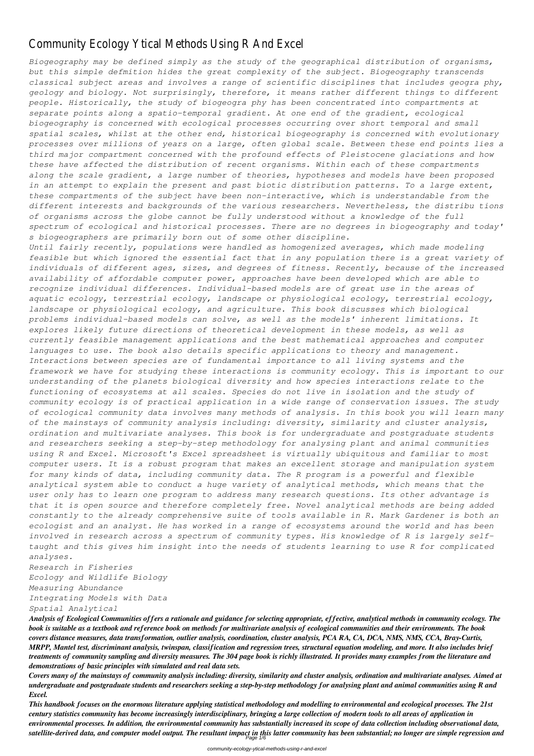# Community Ecology Ytical Methods Using R And

*Biogeography may be defined simply as the study of the geographical distribution of organisms, but this simple defmition hides the great complexity of the subject. Biogeography transcends classical subject areas and involves a range of scientific disciplines that includes geogra phy, geology and biology. Not surprisingly, therefore, it means rather different things to different people. Historically, the study of biogeogra phy has been concentrated into compartments at separate points along a spatio-temporal gradient. At one end of the gradient, ecological biogeography is concerned with ecological processes occurring over short temporal and small spatial scales, whilst at the other end, historical biogeography is concerned with evolutionary processes over millions of years on a large, often global scale. Between these end points lies a third major compartment concerned with the profound effects of Pleistocene glaciations and how these have affected the distribution of recent organisms. Within each of these compartments along the scale gradient, a large number of theories, hypotheses and models have been proposed in an attempt to explain the present and past biotic distribution patterns. To a large extent, these compartments of the subject have been non-interactive, which is understandable from the different interests and backgrounds of the various researchers. Nevertheless, the distribu tions of organisms across the globe cannot be fully understood without a knowledge of the full spectrum of ecological and historical processes. There are no degrees in biogeography and today' s biogeographers are primarily born out of some other discipline. Until fairly recently, populations were handled as homogenized averages, which made modeling feasible but which ignored the essential fact that in any population there is a great variety of individuals of different ages, sizes, and degrees of fitness. Recently, because of the increased availability of affordable computer power, approaches have been developed which are able to recognize individual differences. Individual-based models are of great use in the areas of aquatic ecology, terrestrial ecology, landscape or physiological ecology, terrestrial ecology, landscape or physiological ecology, and agriculture. This book discusses which biological problems individual-based models can solve, as well as the models' inherent limitations. It explores likely future directions of theoretical development in these models, as well as currently feasible management applications and the best mathematical approaches and computer languages to use. The book also details specific applications to theory and management. Interactions between species are of fundamental importance to all living systems and the framework we have for studying these interactions is community ecology. This is important to our understanding of the planets biological diversity and how species interactions relate to the functioning of ecosystems at all scales. Species do not live in isolation and the study of community ecology is of practical application in a wide range of conservation issues. The study of ecological community data involves many methods of analysis. In this book you will learn many of the mainstays of community analysis including: diversity, similarity and cluster analysis, ordination and multivariate analyses. This book is for undergraduate and postgraduate students and researchers seeking a step-by-step methodology for analysing plant and animal communities using R and Excel. Microsoft's Excel spreadsheet is virtually ubiquitous and familiar to most computer users. It is a robust program that makes an excellent storage and manipulation system for many kinds of data, including community data. The R program is a powerful and flexible analytical system able to conduct a huge variety of analytical methods, which means that the user only has to learn one program to address many research questions. Its other advantage is that it is open source and therefore completely free. Novel analytical methods are being added constantly to the already comprehensive suite of tools available in R. Mark Gardener is both an ecologist and an analyst. He has worked in a range of ecosystems around the world and has been involved in research across a spectrum of community types. His knowledge of R is largely selftaught and this gives him insight into the needs of students learning to use R for complicated analyses. Research in Fisheries*

*Ecology and Wildlife Biology Measuring Abundance Integrating Models with Data Spatial Analytical*

*Analysis of Ecological Communities offers a rationale and guidance for selecting appropriate, effective, analytical methods in community ecology. The book is suitable as a textbook and reference book on methods for multivariate analysis of ecological communities and their environments. The book covers distance measures, data transformation, outlier analysis, coordination, cluster analysis, PCA RA, CA, DCA, NMS, NMS, CCA, Bray-Curtis, MRPP, Mantel test, discriminant analysis, twinspan, classification and regression trees, structural equation modeling, and more. It also includes brief treatments of community sampling and diversity measures. The 304 page book is richly illustrated. It provides many examples from the literature and demonstrations of basic principles with simulated and real data sets.*

*Covers many of the mainstays of community analysis including: diversity, similarity and cluster analysis, ordination and multivariate analyses. Aimed at undergraduate and postgraduate students and researchers seeking a step-by-step methodology for analysing plant and animal communities using R and Excel.*

*This handbook focuses on the enormous literature applying statistical methodology and modelling to environmental and ecological processes. The 21st century statistics community has become increasingly interdisciplinary, bringing a large collection of modern tools to all areas of application in environmental processes. In addition, the environmental community has substantially increased its scope of data collection including observational data, satellite-derived data, and computer model output. The resultant impact in this latter community has been substantial; no longer are simple regression and* Page 1/6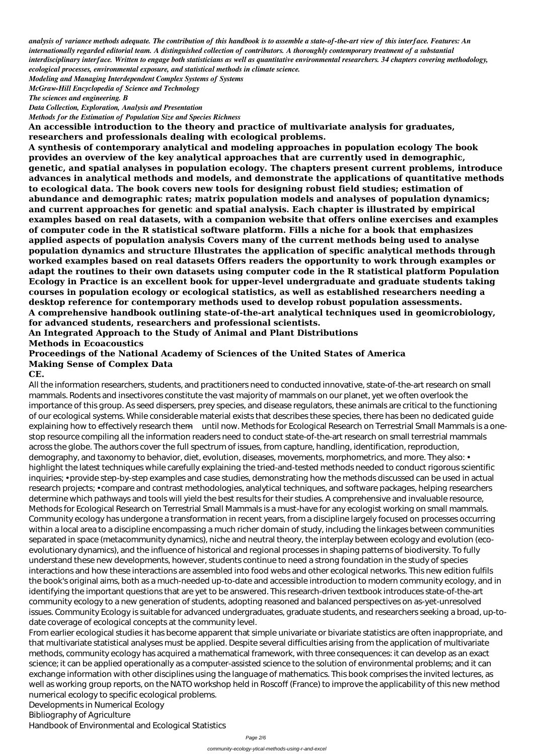*analysis of variance methods adequate. The contribution of this handbook is to assemble a state-of-the-art view of this interface. Features: An internationally regarded editorial team. A distinguished collection of contributors. A thoroughly contemporary treatment of a substantial interdisciplinary interface. Written to engage both statisticians as well as quantitative environmental researchers. 34 chapters covering methodology, ecological processes, environmental exposure, and statistical methods in climate science.*

*Modeling and Managing Interdependent Complex Systems of Systems*

*McGraw-Hill Encyclopedia of Science and Technology*

*The sciences and engineering. B*

*Data Collection, Exploration, Analysis and Presentation*

*Methods for the Estimation of Population Size and Species Richness*

**An accessible introduction to the theory and practice of multivariate analysis for graduates, researchers and professionals dealing with ecological problems.**

**A synthesis of contemporary analytical and modeling approaches in population ecology The book provides an overview of the key analytical approaches that are currently used in demographic, genetic, and spatial analyses in population ecology. The chapters present current problems, introduce advances in analytical methods and models, and demonstrate the applications of quantitative methods to ecological data. The book covers new tools for designing robust field studies; estimation of abundance and demographic rates; matrix population models and analyses of population dynamics; and current approaches for genetic and spatial analysis. Each chapter is illustrated by empirical examples based on real datasets, with a companion website that offers online exercises and examples of computer code in the R statistical software platform. Fills a niche for a book that emphasizes applied aspects of population analysis Covers many of the current methods being used to analyse population dynamics and structure Illustrates the application of specific analytical methods through worked examples based on real datasets Offers readers the opportunity to work through examples or adapt the routines to their own datasets using computer code in the R statistical platform Population Ecology in Practice is an excellent book for upper-level undergraduate and graduate students taking courses in population ecology or ecological statistics, as well as established researchers needing a desktop reference for contemporary methods used to develop robust population assessments. A comprehensive handbook outlining state-of-the-art analytical techniques used in geomicrobiology, for advanced students, researchers and professional scientists.**

**An Integrated Approach to the Study of Animal and Plant Distributions Methods in Ecoacoustics**

### **Proceedings of the National Academy of Sciences of the United States of America Making Sense of Complex Data**

**CE.**

All the information researchers, students, and practitioners need to conducted innovative, state-of-the-art research on small mammals. Rodents and insectivores constitute the vast majority of mammals on our planet, yet we often overlook the importance of this group. As seed dispersers, prey species, and disease regulators, these animals are critical to the functioning of our ecological systems. While considerable material exists that describes these species, there has been no dedicated guide explaining how to effectively research them—until now. Methods for Ecological Research on Terrestrial Small Mammals is a onestop resource compiling all the information readers need to conduct state-of-the-art research on small terrestrial mammals across the globe. The authors cover the full spectrum of issues, from capture, handling, identification, reproduction, demography, and taxonomy to behavior, diet, evolution, diseases, movements, morphometrics, and more. They also: • highlight the latest techniques while carefully explaining the tried-and-tested methods needed to conduct rigorous scientific inquiries; • provide step-by-step examples and case studies, demonstrating how the methods discussed can be used in actual research projects; • compare and contrast methodologies, analytical techniques, and software packages, helping researchers determine which pathways and tools will yield the best results for their studies. A comprehensive and invaluable resource, Methods for Ecological Research on Terrestrial Small Mammals is a must-have for any ecologist working on small mammals. Community ecology has undergone a transformation in recent years, from a discipline largely focused on processes occurring within a local area to a discipline encompassing a much richer domain of study, including the linkages between communities separated in space (metacommunity dynamics), niche and neutral theory, the interplay between ecology and evolution (ecoevolutionary dynamics), and the influence of historical and regional processes in shaping patterns of biodiversity. To fully understand these new developments, however, students continue to need a strong foundation in the study of species interactions and how these interactions are assembled into food webs and other ecological networks. This new edition fulfils the book's original aims, both as a much-needed up-to-date and accessible introduction to modern community ecology, and in identifying the important questions that are yet to be answered. This research-driven textbook introduces state-of-the-art community ecology to a new generation of students, adopting reasoned and balanced perspectives on as-yet-unresolved issues. Community Ecology is suitable for advanced undergraduates, graduate students, and researchers seeking a broad, up-todate coverage of ecological concepts at the community level. From earlier ecological studies it has become apparent that simple univariate or bivariate statistics are often inappropriate, and that multivariate statistical analyses must be applied. Despite several difficulties arising from the application of multivariate methods, community ecology has acquired a mathematical framework, with three consequences: it can develop as an exact science; it can be applied operationally as a computer-assisted science to the solution of environmental problems; and it can exchange information with other disciplines using the language of mathematics. This book comprises the invited lectures, as well as working group reports, on the NATO workshop held in Roscoff (France) to improve the applicability of this new method numerical ecology to specific ecological problems. Developments in Numerical Ecology Bibliography of Agriculture

Handbook of Environmental and Ecological Statistics

Page 2/6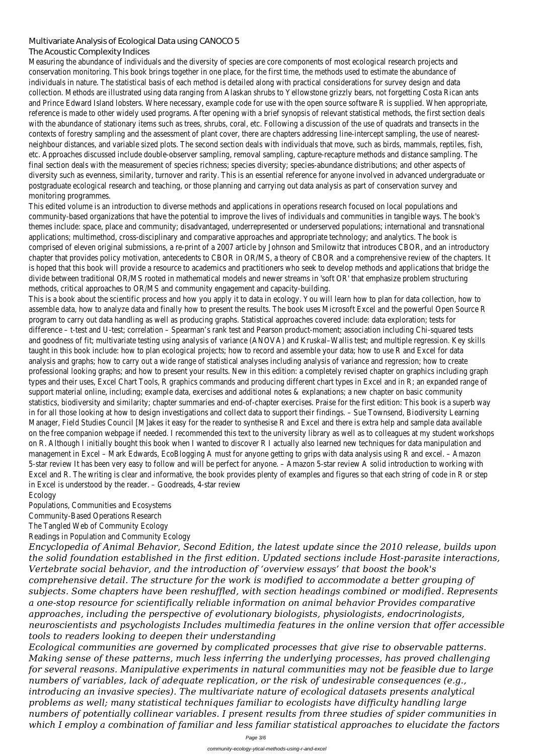#### Multivariate Analysis of Ecological Data using CANOCO 5

#### The Acoustic Complexity Indices

Measuring the abundance of individuals and the diversity of species are core components of most ecological research proje conservation monitoring. This book brings together in one place, for the first time, the methods used to estimate the abund individuals in nature. The statistical basis of each method is detailed along with practical considerations for survey design a collection. Methods are illustrated using data ranging from Alaskan shrubs to Yellowstone grizzly bears, not forgetting Cost and Prince Edward Island lobsters. Where necessary, example code for use with the open source software R is supplied. Wh reference is made to other widely used programs. After opening with a brief synopsis of relevant statistical methods, the f with the abundance of stationary items such as trees, shrubs, coral, etc. Following a discussion of the use of quadrats and contexts of forestry sampling and the assessment of plant cover, there are chapters addressing line-intercept sampling, the neighbour distances, and variable sized plots. The second section deals with individuals that move, such as birds, mammals, etc. Approaches discussed include double-observer sampling, removal sampling, capture-recapture methods and distance sa final section deals with the measurement of species richness; species diversity; species-abundance distributions; and other diversity such as evenness, similarity, turnover and rarity. This is an essential reference for anyone involved in advanced und postgraduate ecological research and teaching, or those planning and carrying out data analysis as part of conservation sur monitoring programmes.

This edited volume is an introduction to diverse methods and applications in operations research focused on local populatio community-based organizations that have the potential to improve the lives of individuals and communities in tangible ways. themes include: space, place and community; disadvantaged, underrepresented or underserved populations; international and applications; multimethod, cross-disciplinary and comparative approaches and appropriate technology; and analytics. The book comprised of eleven original submissions, a re-print of a 2007 article by Johnson and Smilowitz that introduces CBOR, and a chapter that provides policy motivation, antecedents to CBOR in OR/MS, a theory of CBOR and a comprehensive review of is hoped that this book will provide a resource to academics and practitioners who seek to develop methods and applicatio divide between traditional OR/MS rooted in mathematical models and newer streams in 'soft OR' that emphasize problem structuring methods, critical approaches to OR/MS and community engagement and capacity-building.

This is a book about the scientific process and how you apply it to data in ecology. You will learn how to plan for data colle assemble data, how to analyze data and finally how to present the results. The book uses Microsoft Excel and the powerfu program to carry out data handling as well as producing graphs. Statistical approaches covered include: data exploration; te difference – t-test and U-test; correlation – Spearman's rank test and Pearson product-moment; association including Chi-square and goodness of fit; multivariate testing using analysis of variance (ANOVA) and Kruskal-Wallis test; and multiple regression taught in this book include: how to plan ecological projects; how to record and assemble your data; how to use R and Exce analysis and graphs; how to carry out a wide range of statistical analyses including analysis of variance and regression; hove professional looking graphs; and how to present your results. New in this edition: a completely revised chapter on graphics types and their uses, Excel Chart Tools, R graphics commands and producing different chart types in Excel and in R; an expandient range range range range range range range range range range range range range range range ra support material online, including; example data, exercises and additional notes & explanations; a new chapter on basic com statistics, biodiversity and similarity; chapter summaries and end-of-chapter exercises. Praise for the first edition: This book in for all those looking at how to design investigations and collect data to support their findings. - Sue Townsend, Biodivers Manager, Field Studies Council [M]akes it easy for the reader to synthesise R and Excel and there is extra help and sample on the free companion webpage if needed. I recommended this text to the university library as well as to colleagues at my on R. Although I initially bought this book when I wanted to discover R I actually also learned new techniques for data mani management in Excel – Mark Edwards, EcoBlogging A must for anyone getting to grips with data analysis using R and excel 5-star review It has been very easy to follow and will be perfect for anyone. - Amazon 5-star review A solid introduction to Excel and R. The writing is clear and informative, the book provides plenty of examples and figures so that each string of co in Excel is understood by the reader. – Goodreads, 4-star review

Ecology

Populations, Communities and Ecosystems

Community-Based Operations Research

The Tangled Web of Community Ecology

Readings in Population and Community Ecology

*Encyclopedia of Animal Behavior, Second Edition, the latest update since the 2010 release, builds upon the solid foundation established in the first edition. Updated sections include Host-parasite interactions, Vertebrate social behavior, and the introduction of 'overview essays' that boost the book's comprehensive detail. The structure for the work is modified to accommodate a better grouping of subjects. Some chapters have been reshuffled, with section headings combined or modified. Represents a one-stop resource for scientifically reliable information on animal behavior Provides comparative approaches, including the perspective of evolutionary biologists, physiologists, endocrinologists, neuroscientists and psychologists Includes multimedia features in the online version that offer accessible tools to readers looking to deepen their understanding Ecological communities are governed by complicated processes that give rise to observable patterns. Making sense of these patterns, much less inferring the underlying processes, has proved challenging for several reasons. Manipulative experiments in natural communities may not be feasible due to large numbers of variables, lack of adequate replication, or the risk of undesirable consequences (e.g., introducing an invasive species). The multivariate nature of ecological datasets presents analytical problems as well; many statistical techniques familiar to ecologists have difficulty handling large numbers of potentially collinear variables. I present results from three studies of spider communities in which I employ a combination of familiar and less familiar statistical approaches to elucidate the factors*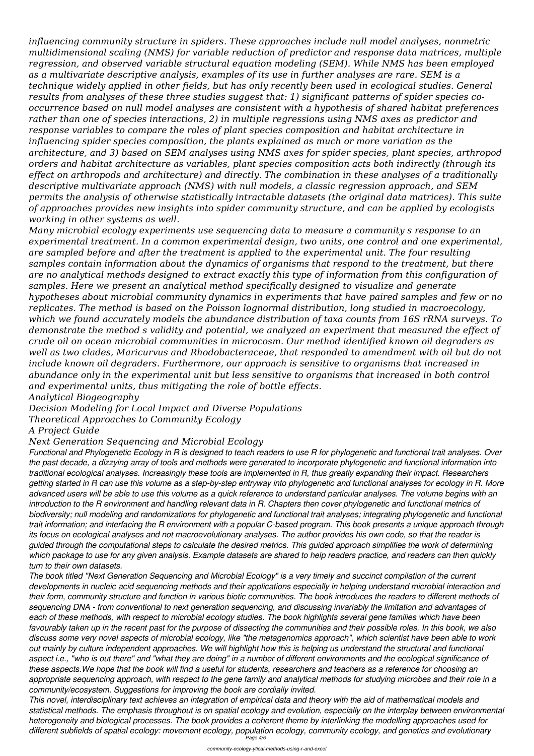*influencing community structure in spiders. These approaches include null model analyses, nonmetric multidimensional scaling (NMS) for variable reduction of predictor and response data matrices, multiple regression, and observed variable structural equation modeling (SEM). While NMS has been employed as a multivariate descriptive analysis, examples of its use in further analyses are rare. SEM is a technique widely applied in other fields, but has only recently been used in ecological studies. General results from analyses of these three studies suggest that: 1) significant patterns of spider species cooccurrence based on null model analyses are consistent with a hypothesis of shared habitat preferences rather than one of species interactions, 2) in multiple regressions using NMS axes as predictor and response variables to compare the roles of plant species composition and habitat architecture in influencing spider species composition, the plants explained as much or more variation as the architecture, and 3) based on SEM analyses using NMS axes for spider species, plant species, arthropod orders and habitat architecture as variables, plant species composition acts both indirectly (through its effect on arthropods and architecture) and directly. The combination in these analyses of a traditionally descriptive multivariate approach (NMS) with null models, a classic regression approach, and SEM permits the analysis of otherwise statistically intractable datasets (the original data matrices). This suite of approaches provides new insights into spider community structure, and can be applied by ecologists working in other systems as well.*

*Many microbial ecology experiments use sequencing data to measure a community s response to an experimental treatment. In a common experimental design, two units, one control and one experimental, are sampled before and after the treatment is applied to the experimental unit. The four resulting samples contain information about the dynamics of organisms that respond to the treatment, but there are no analytical methods designed to extract exactly this type of information from this configuration of samples. Here we present an analytical method specifically designed to visualize and generate hypotheses about microbial community dynamics in experiments that have paired samples and few or no replicates. The method is based on the Poisson lognormal distribution, long studied in macroecology, which we found accurately models the abundance distribution of taxa counts from 16S rRNA surveys. To demonstrate the method s validity and potential, we analyzed an experiment that measured the effect of crude oil on ocean microbial communities in microcosm. Our method identified known oil degraders as well as two clades, Maricurvus and Rhodobacteraceae, that responded to amendment with oil but do not include known oil degraders. Furthermore, our approach is sensitive to organisms that increased in abundance only in the experimental unit but less sensitive to organisms that increased in both control and experimental units, thus mitigating the role of bottle effects.*

## *Analytical Biogeography*

*Decision Modeling for Local Impact and Diverse Populations*

*Theoretical Approaches to Community Ecology*

# *A Project Guide*

# *Next Generation Sequencing and Microbial Ecology*

*Functional and Phylogenetic Ecology in R is designed to teach readers to use R for phylogenetic and functional trait analyses. Over the past decade, a dizzying array of tools and methods were generated to incorporate phylogenetic and functional information into traditional ecological analyses. Increasingly these tools are implemented in R, thus greatly expanding their impact. Researchers getting started in R can use this volume as a step-by-step entryway into phylogenetic and functional analyses for ecology in R. More advanced users will be able to use this volume as a quick reference to understand particular analyses. The volume begins with an introduction to the R environment and handling relevant data in R. Chapters then cover phylogenetic and functional metrics of biodiversity; null modeling and randomizations for phylogenetic and functional trait analyses; integrating phylogenetic and functional trait information; and interfacing the R environment with a popular C-based program. This book presents a unique approach through its focus on ecological analyses and not macroevolutionary analyses. The author provides his own code, so that the reader is guided through the computational steps to calculate the desired metrics. This guided approach simplifies the work of determining which package to use for any given analysis. Example datasets are shared to help readers practice, and readers can then quickly turn to their own datasets. The book titled "Next Generation Sequencing and Microbial Ecology" is a very timely and succinct compilation of the current developments in nucleic acid sequencing methods and their applications especially in helping understand microbial interaction and their form, community structure and function in various biotic communities. The book introduces the readers to different methods of sequencing DNA - from conventional to next generation sequencing, and discussing invariably the limitation and advantages of each of these methods, with respect to microbial ecology studies. The book highlights several gene families which have been favourably taken up in the recent past for the purpose of dissecting the communities and their possible roles. In this book, we also discuss some very novel aspects of microbial ecology, like "the metagenomics approach", which scientist have been able to work out mainly by culture independent approaches. We will highlight how this is helping us understand the structural and functional aspect i.e., "who is out there" and "what they are doing" in a number of different environments and the ecological significance of these aspects.We hope that the book will find a useful for students, researchers and teachers as a reference for choosing an appropriate sequencing approach, with respect to the gene family and analytical methods for studying microbes and their role in a community/ecosystem. Suggestions for improving the book are cordially invited. This novel, interdisciplinary text achieves an integration of empirical data and theory with the aid of mathematical models and statistical methods. The emphasis throughout is on spatial ecology and evolution, especially on the interplay between environmental heterogeneity and biological processes. The book provides a coherent theme by interlinking the modelling approaches used for different subfields of spatial ecology: movement ecology, population ecology, community ecology, and genetics and evolutionary* Page 4/6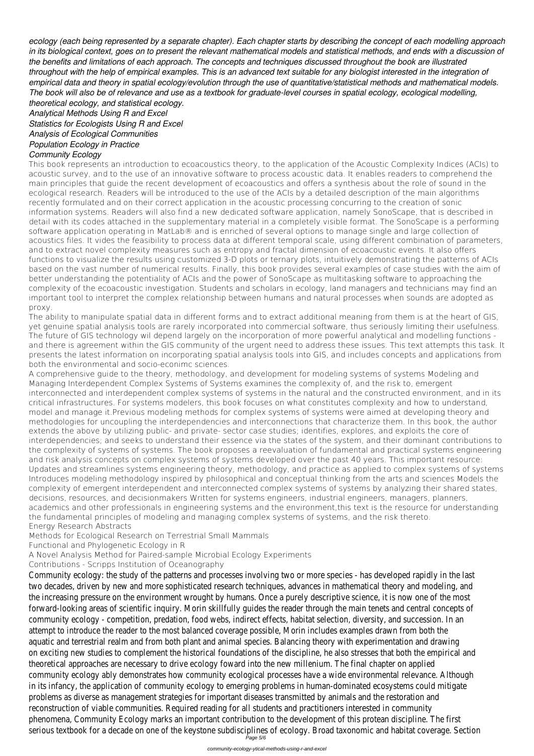*ecology (each being represented by a separate chapter). Each chapter starts by describing the concept of each modelling approach in its biological context, goes on to present the relevant mathematical models and statistical methods, and ends with a discussion of the benefits and limitations of each approach. The concepts and techniques discussed throughout the book are illustrated throughout with the help of empirical examples. This is an advanced text suitable for any biologist interested in the integration of empirical data and theory in spatial ecology/evolution through the use of quantitative/statistical methods and mathematical models. The book will also be of relevance and use as a textbook for graduate-level courses in spatial ecology, ecological modelling, theoretical ecology, and statistical ecology.*

# *Analytical Methods Using R and Excel Statistics for Ecologists Using R and Excel Analysis of Ecological Communities Population Ecology in Practice*

#### *Community Ecology*

This book represents an introduction to ecoacoustics theory, to the application of the Acoustic Complexity Indices (ACIs) to acoustic survey, and to the use of an innovative software to process acoustic data. It enables readers to comprehend the main principles that guide the recent development of ecoacoustics and offers a synthesis about the role of sound in the ecological research. Readers will be introduced to the use of the ACIs by a detailed description of the main algorithms recently formulated and on their correct application in the acoustic processing concurring to the creation of sonic information systems. Readers will also find a new dedicated software application, namely SonoScape, that is described in detail with its codes attached in the supplementary material in a completely visible format. The SonoScape is a performing software application operating in MatLab® and is enriched of several options to manage single and large collection of acoustics files. It vides the feasibility to process data at different temporal scale, using different combination of parameters, and to extract novel complexity measures such as entropy and fractal dimension of ecoacoustic events. It also offers functions to visualize the results using customized 3-D plots or ternary plots, intuitively demonstrating the patterns of ACIs based on the vast number of numerical results. Finally, this book provides several examples of case studies with the aim of better understanding the potentiality of ACIs and the power of SonoScape as multitasking software to approaching the complexity of the ecoacoustic investigation. Students and scholars in ecology, land managers and technicians may find an important tool to interpret the complex relationship between humans and natural processes when sounds are adopted as proxy.

The ability to manipulate spatial data in different forms and to extract additional meaning from them is at the heart of GIS, yet genuine spatial analysis tools are rarely incorporated into commercial software, thus seriously limiting their usefulness. The future of GIS technology wil depend largely on the incorporation of more powerful analytical and modelling functions and there is agreement within the GIS community of the urgent need to address these issues. This text attempts this task. It presents the latest information on incorporating spatial analysis tools into GIS, and includes concepts and applications from both the environmental and socio-econimc sciences.

Community ecology: the study of the patterns and processes involving two or more species - has developed rapidly two decades, driven by new and more sophisticated research techniques, advances in mathematical theory and mo the increasing pressure on the environment wrought by humans. Once a purely descriptive science, it is now one o forward-looking areas of scientific inquiry. Morin skillfully guides the reader through the main tenets and central concepts community ecology - competition, predation, food webs, indirect effects, habitat selection, diversity, and successio attempt to introduce the reader to the most balanced coverage possible, Morin includes examples drawn from bot aquatic and terrestrial realm and from both plant and animal species. Balancing theory with experimentation and di on exciting new studies to complement the historical foundations of the discipline, he also stresses that both the theoretical approaches are necessary to drive ecology foward into the new millenium. The final chapter on applied community ecology ably demonstrates how community ecological processes have a wide environmental relevance. in its infancy, the application of community ecology to emerging problems in human-dominated ecosystems could r problems as diverse as management strategies for important diseases transmitted by animals and the restoration reconstruction of viable communities. Required reading for all students and practitioners interested in community phenomena, Community Ecology marks an important contribution to the development of this protean discipline. The serious textbook for a decade on one of the keystone subdisciplines of ecology. Broad taxonomic and habitat cove Page 5/6

A comprehensive guide to the theory, methodology, and development for modeling systems of systems Modeling and Managing Interdependent Complex Systems of Systems examines the complexity of, and the risk to, emergent interconnected and interdependent complex systems of systems in the natural and the constructed environment, and in its critical infrastructures. For systems modelers, this book focuses on what constitutes complexity and how to understand, model and manage it.Previous modeling methods for complex systems of systems were aimed at developing theory and methodologies for uncoupling the interdependencies and interconnections that characterize them. In this book, the author extends the above by utilizing public- and private- sector case studies; identifies, explores, and exploits the core of interdependencies; and seeks to understand their essence via the states of the system, and their dominant contributions to the complexity of systems of systems. The book proposes a reevaluation of fundamental and practical systems engineering and risk analysis concepts on complex systems of systems developed over the past 40 years. This important resource: Updates and streamlines systems engineering theory, methodology, and practice as applied to complex systems of systems Introduces modeling methodology inspired by philosophical and conceptual thinking from the arts and sciences Models the complexity of emergent interdependent and interconnected complex systems of systems by analyzing their shared states, decisions, resources, and decisionmakers Written for systems engineers, industrial engineers, managers, planners, academics and other professionals in engineering systems and the environment,this text is the resource for understanding the fundamental principles of modeling and managing complex systems of systems, and the risk thereto. Energy Research Abstracts

Methods for Ecological Research on Terrestrial Small Mammals Functional and Phylogenetic Ecology in R

A Novel Analysis Method for Paired-sample Microbial Ecology Experiments

Contributions - Scripps Institution of Oceanography